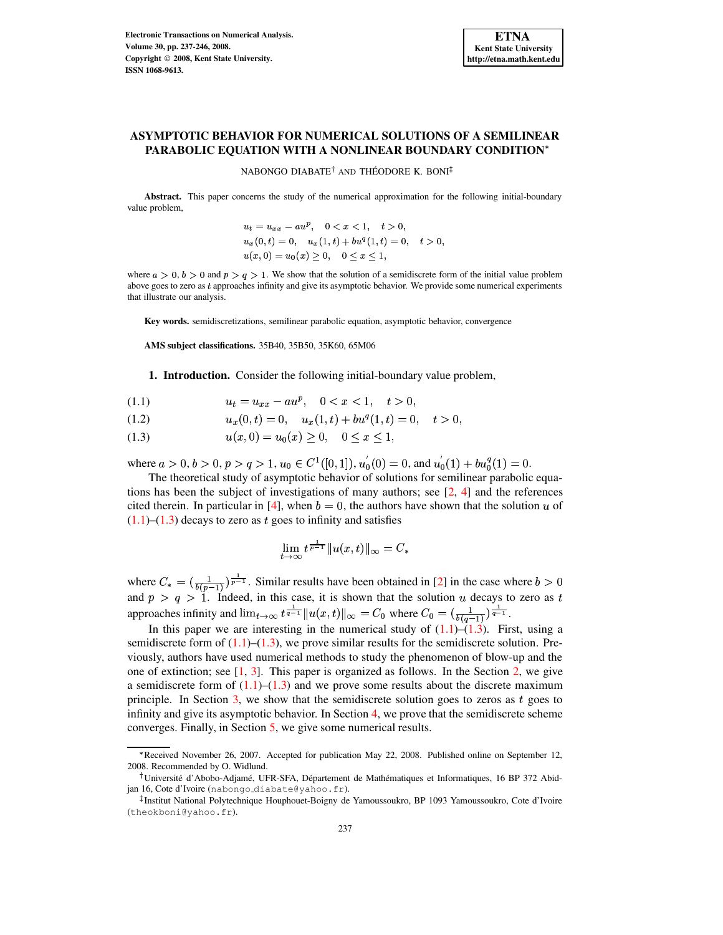# **ASYMPTOTIC BEHAVIOR FOR NUMERICAL SOLUTIONS OF A SEMILINEAR PARABOLIC EQUATION WITH A NONLINEAR BOUNDARY CONDITION**

## NABONGO DIABATE<sup>†</sup> AND THÉODORE K. BONI

**Abstract.** This paper concerns the study of the numerical approximation for the following initial-boundary value problem,

$$
u_t = u_{xx} - au^p, \quad 0 < x < 1, \quad t > 0,
$$
\n
$$
u_x(0, t) = 0, \quad u_x(1, t) + bu^q(1, t) = 0, \quad t > 0,
$$
\n
$$
u(x, 0) = u_0(x) \ge 0, \quad 0 \le x \le 1,
$$

where  $a > 0$ ,  $b > 0$  and  $p > q > 1$ . We show that the solution of a semidiscrete form of the initial value problem above goes to zero as  $t$  approaches infinity and give its asymptotic behavior. We provide some numerical experiments that illustrate our analysis.

**Key words.** semidiscretizations, semilinear parabolic equation, asymptotic behavior, convergence

**AMS subject classifications.** 35B40, 35B50, 35K60, 65M06

**1. Introduction.** Consider the following initial-boundary value problem,

<span id="page-0-0"></span>(1.1)  $u_t = u_{xx} - au^p$ ,  $0 < x < 1$ ,  $t > 0$ ,

$$
(1.2) \t\t ux(0,t) = 0, \t ux(1,t) + buq(1,t) = 0, \t t > 0,
$$

(1.3)  $u(x, 0) = u_0(x) \ge 0, \quad 0 \le x \le 1,$ 

where  $a>0$ ,  $b>0$ ,  $p > q > 1$ ,  $u_0 \in C^1([0, 1])$ ,  $u'_0(0) = 0$ , and  $u'_0(1) + bu_0^q(1) = 0$ .

The theoretical study of asymptotic behavior of solutions for semilinear parabolic equations has been the subject of investigations of many authors; see [\[2,](#page-9-0) [4\]](#page-9-1) and the references cited therein. In particular in [\[4\]](#page-9-1), when  $b = 0$ , the authors have shown that the solution u of  $(1.1)$ – $(1.3)$  decays to zero as t goes to infinity and satisfies

$$
\lim_{t\to\infty}t^{\frac{1}{p-1}}\|u(x,t)\|_\infty=C_*
$$

where  $C_* = (\frac{1}{b(n-1)})^{\frac{1}{p-1}}$ . Similar results have been obtained in [\[2\]](#page-9-0) in the case where  $b > 0$ and  $p > q > 1$ . Indeed, in this case, it is shown that the solution u decays to zero as t approaches infinity and  $\lim_{t\to\infty} t^{\frac{-\gamma}{q-1}} \|u(x,t)\|_{\infty} = C_0$  where  $C_0 = (\frac{1}{b(a-1)})^{\frac{-\gamma}{q-1}}$ .

In this paper we are interesting in the numerical study of  $(1.1)$ – $(1.3)$ . First, using a semidiscrete form of  $(1.1)$ – $(1.3)$ , we prove similar results for the semidiscrete solution. Previously, authors have used numerical methods to study the phenomenon of blow-up and the one of extinction; see  $\begin{bmatrix} 1, 3 \end{bmatrix}$ . This paper is organized as follows. In the Section [2,](#page-1-0) we give a semidiscrete form of  $(1.1)$ – $(1.3)$  and we prove some results about the discrete maximum principle. In Section  $3$ , we show that the semidiscrete solution goes to zeros as t goes to infinity and give its asymptotic behavior. In Section [4,](#page-5-0) we prove that the semidiscrete scheme converges. Finally, in Section [5,](#page-7-0) we give some numerical results.

Received November 26, 2007. Accepted for publication May 22, 2008. Published online on September 12, 2008. Recommended by O. Widlund.

Université d'Abobo-Adjamé, UFR-SFA, Département de Mathématiques et Informatiques, 16 BP 372 Abidjan 16, Cote d'Ivoire (nabongo diabate@yahoo.fr).

<sup>-</sup> Institut National Polytechnique Houphouet-Boigny de Yamoussoukro, BP 1093 Yamoussoukro, Cote d'Ivoire (theokboni@yahoo.fr).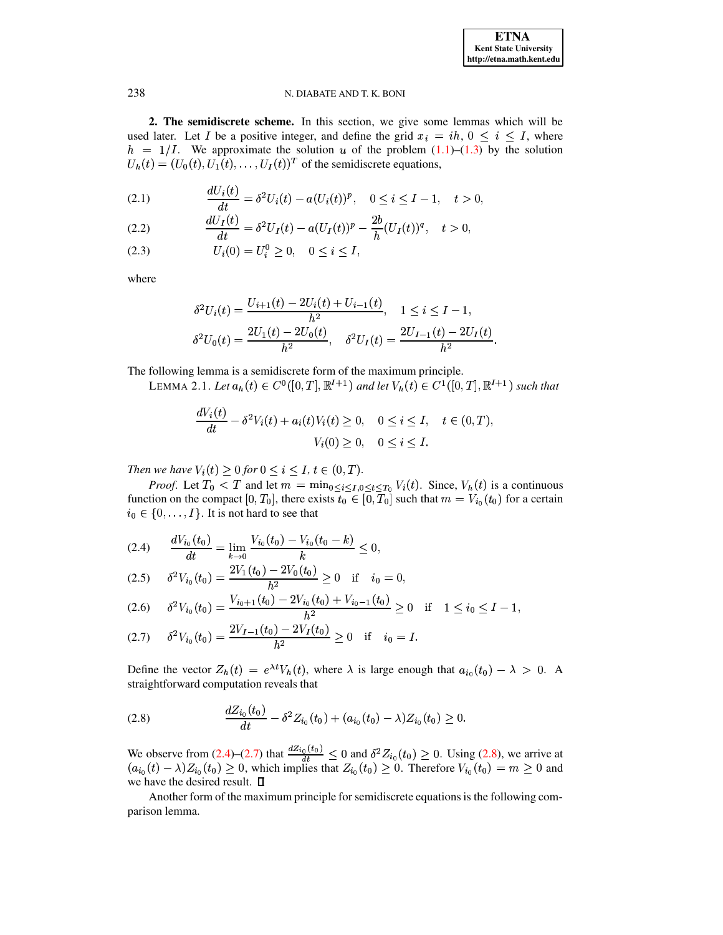<span id="page-1-0"></span>**2. The semidiscrete scheme.** In this section, we give some lemmas which will be used later. Let I be a positive integer, and define the grid  $x_i = ih, 0 \le i \le I$ , where  $h = 1/I$ . We approximate the solution u of the problem  $(1.1)$ – $(1.3)$  by the solution  $U_h(t) = (U_0(t), U_1(t), \dots, U_I(t))^T$  of the semidiscrete equations,

<span id="page-1-3"></span>(2.1) 
$$
\frac{dU_i(t)}{dt} = \delta^2 U_i(t) - a(U_i(t))^p, \quad 0 \le i \le I - 1, \quad t > 0,
$$

(2.2) 
$$
\frac{dU_I(t)}{dt} = \delta^2 U_I(t) - a(U_I(t))^p - \frac{2b}{h}(U_I(t))^q, \quad t > 0,
$$

$$
(2.3) \t\t\t U_i(0) = U_i^0 \ge 0, \t 0 \le i \le I,
$$

where

$$
\delta^2 U_i(t) = \frac{U_{i+1}(t) - 2U_i(t) + U_{i-1}(t)}{h^2}, \quad 1 \le i \le I - 1,
$$
  

$$
\delta^2 U_0(t) = \frac{2U_1(t) - 2U_0(t)}{h^2}, \quad \delta^2 U_I(t) = \frac{2U_{I-1}(t) - 2U_I(t)}{h^2}.
$$

The following lemma is a semidiscrete form of the maximum principle.

LEMMA 2.1. Let  $a_h(t) \in C^0([0,T], \mathbb{R}^{I+1})$  and let  $V_h(t) \in C^1([0,T], \mathbb{R}^{I+1})$  such that

<span id="page-1-4"></span>
$$
\frac{dV_i(t)}{dt} - \delta^2 V_i(t) + a_i(t)V_i(t) \ge 0, \quad 0 \le i \le I, \quad t \in (0, T),
$$
  

$$
V_i(0) \ge 0, \quad 0 \le i \le I.
$$

*Then we have*  $V_i(t) \geq 0$  *for*  $0 \leq i \leq I$ ,  $t \in (0, T)$ *.* 

*Proof.* Let  $T_0 < T$  and let  $m = \min_{0 \le i \le I, 0 \le t \le T_0} V_i(t)$ . Since,  $V_h(t)$  is a continuous function on the compact  $[0, T_0]$ , there exists  $t_0 \in [0, T_0]$  such that  $m = V_{i_0}(t_0)$  for a certain  $i_0 \in \{0, \ldots, I\}$ . It is not hard to see that

<span id="page-1-1"></span>
$$
(2.4) \qquad \frac{dV_{i_0}(t_0)}{dt} = \lim_{k \to 0} \frac{V_{i_0}(t_0) - V_{i_0}(t_0 - k)}{k} \le 0,
$$

$$
(2.5) \qquad \delta^2 V_{i_0}(t_0) = \frac{2V_1(t_0) - 2V_0(t_0)}{h^2} \ge 0 \quad \text{if} \quad i_0 = 0,
$$

$$
(2.6) \qquad \delta^2 V_{i_0}(t_0) = \frac{V_{i_0+1}(t_0) - 2V_{i_0}(t_0) + V_{i_0-1}(t_0)}{h^2} \ge 0 \quad \text{if} \quad 1 \le i_0 \le I-1,
$$

$$
(2.7) \qquad \delta^2 V_{i_0}(t_0) = \frac{2V_{I-1}(t_0) - 2V_I(t_0)}{h^2} \ge 0 \quad \text{if} \quad i_0 = I.
$$

Define the vector  $Z_h(t) = e^{\lambda t} V_h(t)$ , where  $\lambda$  is large enough that  $a_{i_0}(t_0) - \lambda > 0$ . A straightforward computation reveals that

<span id="page-1-2"></span>
$$
(2.8) \qquad \qquad \frac{dZ_{i_0}(t_0)}{dt} - \delta^2 Z_{i_0}(t_0) + (a_{i_0}(t_0) - \lambda)Z_{i_0}(t_0) \geq 0.
$$

We observe from [\(2.4\)](#page-1-1)–[\(2.7\)](#page-1-1) that  $\frac{dZ_{i_0}(t_0)}{dt} \leq 0$ We observe from (2.4)–(2.7) that  $\frac{dZ_i{}_{i_0}(t_0)}{dt} \leq 0$  and  $\delta^2 Z_{i_0}(t_0) \geq 0$ . Using [\(2.8\)](#page-1-2), we arrive at  $(a_{i_0}(t) - \lambda)Z_{i_0}(t_0) \geq 0$ , which implies that  $Z_{i_0}(t_0) \geq 0$ . Therefore  $V_{i_0}(t_0) = m \geq 0$  and we have the desired result.  $\square$ 

<span id="page-1-5"></span>Another form of the maximum principle for semidiscrete equations is the following comparison lemma.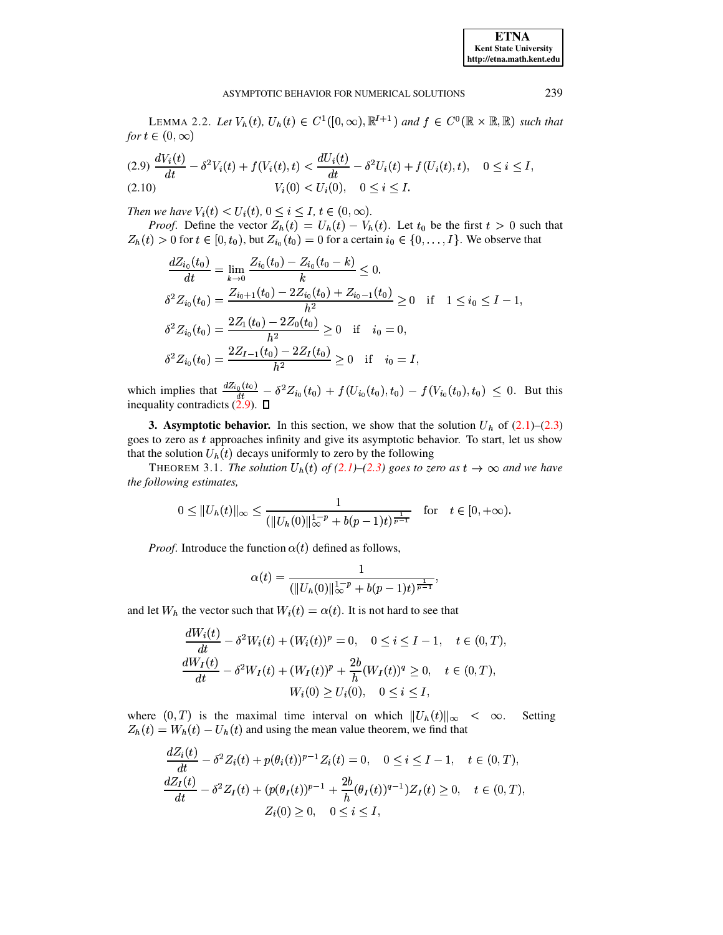#### ASYMPTOTIC BEHAVIOR FOR NUMERICAL SOLUTIONS

LEMMA 2.2. Let  $V_h(t)$ ,  $U_h(t) \in C^1([0,\infty), \mathbb{R}^{I+1})$  and  $f \in C^0(\mathbb{R} \times \mathbb{R}, \mathbb{R})$  such that for  $t \in (0, \infty)$ 

<span id="page-2-1"></span>
$$
(2.9) \frac{dV_i(t)}{dt} - \delta^2 V_i(t) + f(V_i(t), t) < \frac{dU_i(t)}{dt} - \delta^2 U_i(t) + f(U_i(t), t), \quad 0 \le i \le I,
$$
\n
$$
(2.10) \qquad V_i(0) < U_i(0), \quad 0 \le i \le I.
$$

Then we have  $V_i(t) < U_i(t)$ ,  $0 \le i \le I$ ,  $t \in (0, \infty)$ .

*Proof.* Define the vector  $Z_h(t) = U_h(t) - V_h(t)$ . Let  $t_0$  be the first  $t > 0$  such that  $Z_h(t) > 0$  for  $t \in [0, t_0)$ , but  $Z_{i_0}(t_0) = 0$  for a certain  $i_0 \in \{0, \ldots, I\}$ . We observe that

$$
\frac{dZ_{i_0}(t_0)}{dt} = \lim_{k \to 0} \frac{Z_{i_0}(t_0) - Z_{i_0}(t_0 - k)}{k} \le 0.
$$
  
\n
$$
\delta^2 Z_{i_0}(t_0) = \frac{Z_{i_0+1}(t_0) - 2Z_{i_0}(t_0) + Z_{i_0-1}(t_0)}{h^2} \ge 0 \quad \text{if} \quad 1 \le i_0 \le I - 1,
$$
  
\n
$$
\delta^2 Z_{i_0}(t_0) = \frac{2Z_1(t_0) - 2Z_0(t_0)}{h^2} \ge 0 \quad \text{if} \quad i_0 = 0,
$$
  
\n
$$
\delta^2 Z_{i_0}(t_0) = \frac{2Z_{I-1}(t_0) - 2Z_I(t_0)}{h^2} \ge 0 \quad \text{if} \quad i_0 = I,
$$

which implies that  $\frac{dZ_{i_0}(t_0)}{dt} - \delta^2 Z_{i_0}(t_0) + f(U_{i_0}(t_0), t_0) - f(V_{i_0}(t_0), t_0) \le 0$ . But this inequality contradicts (2.9).  $\Box$ 

<span id="page-2-0"></span>**3. Asymptotic behavior.** In this section, we show that the solution  $U_h$  of  $(2.1)$ – $(2.3)$ goes to zero as t approaches infinity and give its asymptotic behavior. To start, let us show that the solution  $U_h(t)$  decays uniformly to zero by the following

THEOREM 3.1. The solution  $U_h(t)$  of (2.1)–(2.3) goes to zero as  $t \to \infty$  and we have the following estimates,

$$
0 \leq ||U_h(t)||_{\infty} \leq \frac{1}{(||U_h(0)||_{\infty}^{1-p} + b(p-1)t)^{\frac{1}{p-1}}} \quad \text{for} \quad t \in [0, +\infty).
$$

*Proof.* Introduce the function  $\alpha(t)$  defined as follows,

<span id="page-2-2"></span>
$$
\alpha(t) = \frac{1}{(\|U_h(0)\|_{\infty}^{1-p} + b(p-1)t)^{\frac{1}{p-1}}}
$$

and let  $W_h$  the vector such that  $W_i(t) = \alpha(t)$ . It is not hard to see that

$$
\frac{dW_i(t)}{dt} - \delta^2 W_i(t) + (W_i(t))^p = 0, \quad 0 \le i \le I - 1, \quad t \in (0, T),
$$
  

$$
\frac{dW_I(t)}{dt} - \delta^2 W_I(t) + (W_I(t))^p + \frac{2b}{h}(W_I(t))^q \ge 0, \quad t \in (0, T),
$$
  

$$
W_i(0) \ge U_i(0), \quad 0 \le i \le I,
$$

where  $(0,T)$  is the maximal time interval on which  $||U_h(t)||_{\infty} < \infty$ . Setting  $Z_h(t) = W_h(t) - U_h(t)$  and using the mean value theorem, we find that

$$
\frac{dZ_i(t)}{dt} - \delta^2 Z_i(t) + p(\theta_i(t))^{p-1} Z_i(t) = 0, \quad 0 \le i \le I - 1, \quad t \in (0, T),
$$
  

$$
\frac{dZ_I(t)}{dt} - \delta^2 Z_I(t) + (p(\theta_I(t))^{p-1} + \frac{2b}{h}(\theta_I(t))^{q-1})Z_I(t) \ge 0, \quad t \in (0, T),
$$
  

$$
Z_i(0) \ge 0, \quad 0 \le i \le I,
$$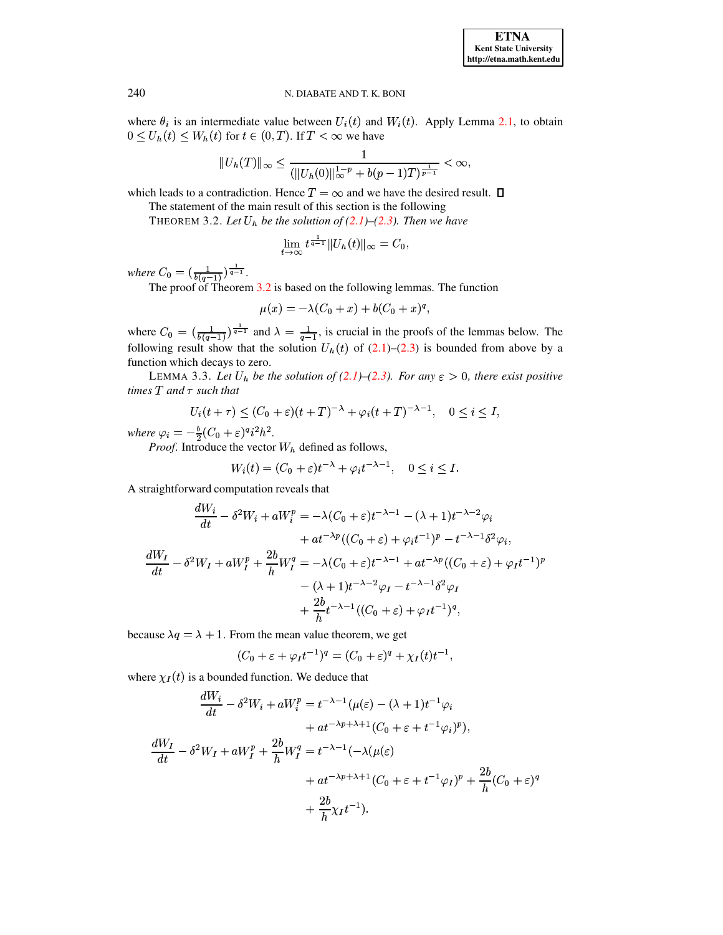where  $\theta_i$  is an intermediate value between  $U_i(t)$  and  $W_i(t)$ . Apply Lemma 2.1, to obtain  $0 \le U_h(t) \le W_h(t)$  for  $t \in (0, T)$ . If  $T < \infty$  we have

$$
||U_h(T)||_{\infty} \le \frac{1}{(||U_h(0)||_{\infty}^{1-p} + b(p-1)T)^{\frac{1}{p-1}}} < \infty,
$$

which leads to a contradiction. Hence  $T = \infty$  and we have the desired result.  $\Box$ 

The statement of the main result of this section is the following T

**THEOREM 3.2.** Let 
$$
U_h
$$
 be the solution of (2.1)–(2.3). Then we have

<span id="page-3-0"></span>
$$
\lim_{t\to\infty}t^{\frac{1}{q-1}}\|U_h(t)\|_{\infty}=C_0,
$$

where  $C_0 = \left(\frac{1}{b(q-1)}\right)^{\frac{1}{q-1}}$ .<br>The proof of Theorem 3.2 is based on the following lemmas. The function

$$
\mu(x) = -\lambda (C_0 + x) + b(C_0 + x)^q,
$$

where  $C_0 = (\frac{1}{b(q-1)})^{\frac{1}{q-1}}$  and  $\lambda = \frac{1}{q-1}$ , is crucial in the proofs of the lemmas below. The following result show that the solution  $U_h(t)$  of (2.1)–(2.3) is bounded from above by a function which decays to zero.

LEMMA 3.3. Let  $U_h$  be the solution of (2.1)–(2.3). For any  $\varepsilon > 0$ , there exist positive times  $T$  and  $\tau$  such that

<span id="page-3-1"></span>
$$
U_i(t+\tau) \le (C_0 + \varepsilon)(t+T)^{-\lambda} + \varphi_i(t+T)^{-\lambda-1}, \quad 0 \le i \le I,
$$

where  $\varphi_i = -\frac{b}{2}(C_0 + \varepsilon)^q i^2 h^2$ .

*Proof.* Introduce the vector  $W_h$  defined as follows,

$$
W_i(t) = (C_0 + \varepsilon)t^{-\lambda} + \varphi_i t^{-\lambda - 1}, \quad 0 \le i \le I.
$$

A straightforward computation reveals that

$$
\frac{dW_i}{dt} - \delta^2 W_i + aW_i^p = -\lambda (C_0 + \varepsilon)t^{-\lambda - 1} - (\lambda + 1)t^{-\lambda - 2}\varphi_i
$$
  
+  $at^{-\lambda p}((C_0 + \varepsilon) + \varphi_i t^{-1})^p - t^{-\lambda - 1}\delta^2 \varphi_i,$   

$$
\frac{dW_I}{dt} - \delta^2 W_I + aW_I^p + \frac{2b}{h}W_I^q = -\lambda (C_0 + \varepsilon)t^{-\lambda - 1} + at^{-\lambda p}((C_0 + \varepsilon) + \varphi_I t^{-1})^p
$$
  
-  $(\lambda + 1)t^{-\lambda - 2}\varphi_I - t^{-\lambda - 1}\delta^2 \varphi_I$   
+  $\frac{2b}{h}t^{-\lambda - 1}((C_0 + \varepsilon) + \varphi_I t^{-1})^q,$ 

because  $\lambda q = \lambda + 1$ . From the mean value theorem, we get

$$
(C_0 + \varepsilon + \varphi_I t^{-1})^q = (C_0 + \varepsilon)^q + \chi_I(t)t^{-1},
$$

where  $\chi_I(t)$  is a bounded function. We deduce that

$$
\frac{dW_i}{dt} - \delta^2 W_i + aW_i^p = t^{-\lambda - 1} (\mu(\varepsilon) - (\lambda + 1)t^{-1} \varphi_i \n+ at^{-\lambda p + \lambda + 1} (C_0 + \varepsilon + t^{-1} \varphi_i)^p),
$$
\n
$$
\frac{dW_I}{dt} - \delta^2 W_I + aW_I^p + \frac{2b}{h} W_I^q = t^{-\lambda - 1} (-\lambda(\mu(\varepsilon) \n+ at^{-\lambda p + \lambda + 1} (C_0 + \varepsilon + t^{-1} \varphi_I)^p + \frac{2b}{h} (C_0 + \varepsilon)^q \n+ \frac{2b}{h} \chi_I t^{-1}).
$$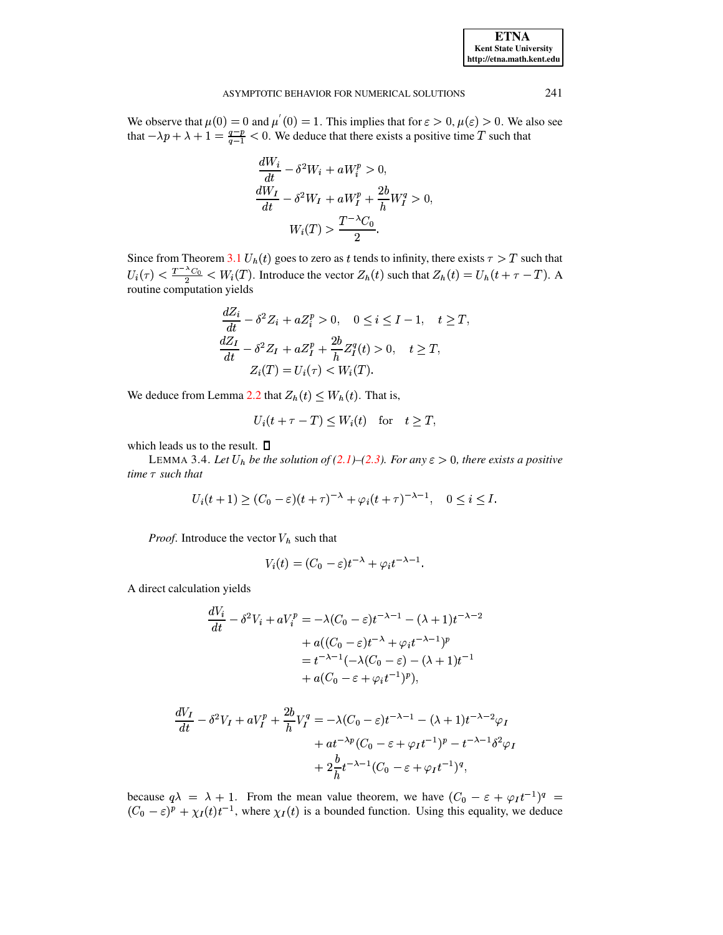#### ASYMPTOTIC BEHAVIOR FOR NUMERICAL SOLUTIONS

We observe that  $\mu(0) = 0$  and  $\mu'(0) = 1$ . This implies that for  $\varepsilon > 0$ ,  $\mu(\varepsilon) > 0$ . We also see that  $-\lambda p + \lambda + 1 = \frac{q-p}{q-1} < 0$ . We deduce that there exists a positive time T such that

$$
\frac{dW_i}{dt} - \delta^2 W_i + aW_i^p > 0,
$$
  
\n
$$
\frac{dW_I}{dt} - \delta^2 W_I + aW_I^p + \frac{2b}{h}W_I^q > 0,
$$
  
\n
$$
W_i(T) > \frac{T^{-\lambda}C_0}{2}.
$$

Since from Theorem 3.1  $U_h(t)$  goes to zero as t tends to infinity, there exists  $\tau > T$  such that  $U_i(\tau) < \frac{T^{-\lambda}C_0}{2} < W_i(T)$ . Introduce the vector  $Z_h(t)$  such that  $Z_h(t) = U_h(t + \tau - T)$ . A routine computation yields

$$
\frac{dZ_i}{dt} - \delta^2 Z_i + aZ_i^p > 0, \quad 0 \le i \le I - 1, \quad t \ge T,
$$
  

$$
\frac{dZ_I}{dt} - \delta^2 Z_I + aZ_I^p + \frac{2b}{h}Z_I^q(t) > 0, \quad t \ge T,
$$
  

$$
Z_i(T) = U_i(\tau) < W_i(T).
$$

We deduce from Lemma 2.2 that  $Z_h(t) \leq W_h(t)$ . That is,

$$
U_i(t + \tau - T) < W_i(t) \quad \text{for} \quad t > T,
$$

<span id="page-4-0"></span>which leads us to the result.  $\square$ 

LEMMA 3.4. Let  $U_h$  be the solution of (2.1)–(2.3). For any  $\varepsilon > 0$ , there exists a positive time  $\tau$  such that

$$
U_i(t+1) \ge (C_0 - \varepsilon)(t+\tau)^{-\lambda} + \varphi_i(t+\tau)^{-\lambda-1}, \quad 0 \le i \le I.
$$

*Proof.* Introduce the vector  $V_h$  such that

$$
V_i(t) = (C_0 - \varepsilon)t^{-\lambda} + \varphi_i t^{-\lambda - 1}.
$$

A direct calculation yields

$$
\frac{dV_i}{dt} - \delta^2 V_i + aV_i^p = -\lambda (C_0 - \varepsilon)t^{-\lambda - 1} - (\lambda + 1)t^{-\lambda - 2}
$$

$$
+ a((C_0 - \varepsilon)t^{-\lambda} + \varphi_i t^{-\lambda - 1})^p
$$

$$
= t^{-\lambda - 1}(-\lambda (C_0 - \varepsilon) - (\lambda + 1)t^{-1}
$$

$$
+ a(C_0 - \varepsilon + \varphi_i t^{-1})^p),
$$

$$
\frac{dV_I}{dt} - \delta^2 V_I + aV_I^p + \frac{2b}{h}V_I^q = -\lambda(C_0 - \varepsilon)t^{-\lambda - 1} - (\lambda + 1)t^{-\lambda - 2}\varphi_I
$$

$$
+ at^{-\lambda p}(C_0 - \varepsilon + \varphi_I t^{-1})^p - t^{-\lambda - 1}\delta^2 \varphi_I
$$

$$
+ 2\frac{b}{h}t^{-\lambda - 1}(C_0 - \varepsilon + \varphi_I t^{-1})^q,
$$

because  $q\lambda = \lambda + 1$ . From the mean value theorem, we have  $(C_0 - \varepsilon + \varphi_I t^{-1})^q$  $(C_0 - \varepsilon)^p + \chi_I(t) t^{-1}$ , where  $\chi_I(t)$  is a bounded function. Using this equality, we deduce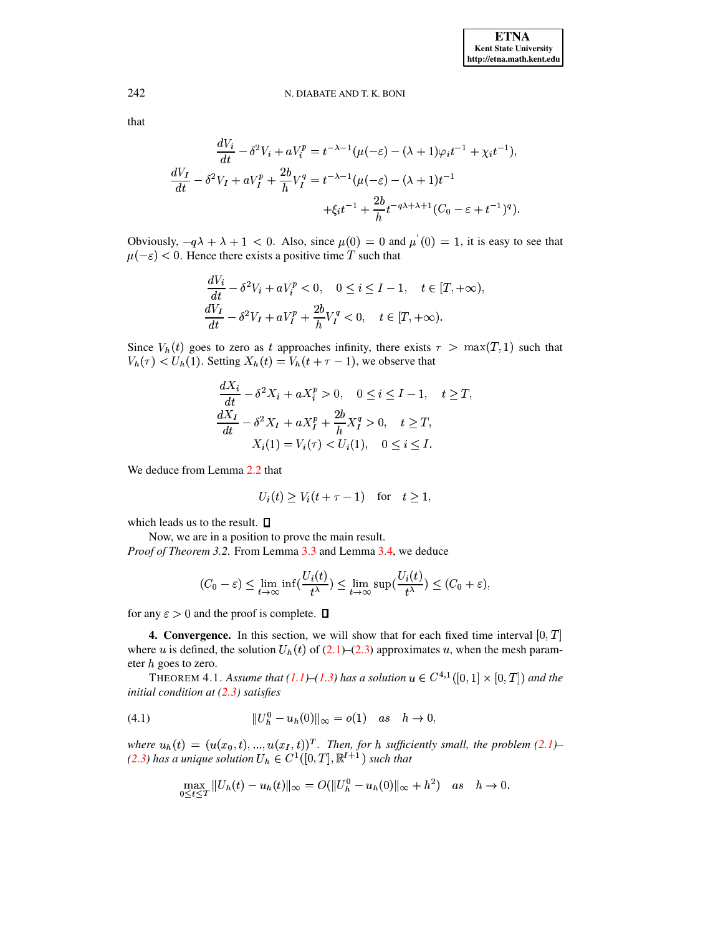242 that

$$
\frac{dV_i}{dt} - \delta^2 V_i + aV_i^p = t^{-\lambda - 1} (\mu(-\varepsilon) - (\lambda + 1)\varphi_i t^{-1} + \chi_i t^{-1}),
$$
  

$$
\frac{dV_I}{dt} - \delta^2 V_I + aV_I^p + \frac{2b}{h}V_I^q = t^{-\lambda - 1} (\mu(-\varepsilon) - (\lambda + 1)t^{-1} + \xi_i t^{-1} + \frac{2b}{h} t^{-q\lambda + \lambda + 1} (C_0 - \varepsilon + t^{-1})^q).
$$

Obviously,  $-q\lambda + \lambda + 1 < 0$ . Also, since  $\mu(0) = 0$  and  $\mu'(0) = 1$ , it is easy to see that  $\mu(-\varepsilon)$  < 0. Hence there exists a positive time T such that

$$
\frac{dV_i}{dt} - \delta^2 V_i + aV_i^p < 0, \quad 0 \le i \le I - 1, \quad t \in [T, +\infty),
$$
\n
$$
\frac{dV_I}{dt} - \delta^2 V_I + aV_I^p + \frac{2b}{h}V_I^q < 0, \quad t \in [T, +\infty).
$$

Since  $V_h(t)$  goes to zero as t approaches infinity, there exists  $\tau > \max(T, 1)$  such that  $V_h(\tau) < U_h(1)$ . Setting  $X_h(t) = V_h(t + \tau - 1)$ , we observe that

$$
\frac{dX_i}{dt} - \delta^2 X_i + aX_i^p > 0, \quad 0 \le i \le I - 1, \quad t \ge T,
$$
  

$$
\frac{dX_I}{dt} - \delta^2 X_I + aX_I^p + \frac{2b}{h} X_I^q > 0, \quad t \ge T,
$$
  

$$
X_i(1) = V_i(\tau) < U_i(1), \quad 0 \le i \le I.
$$

We deduce from Lemma 2.2 that

$$
U_i(t) \ge V_i(t + \tau - 1) \quad \text{for} \quad t \ge 1,
$$

which leads us to the result.  $\square$ 

Now, we are in a position to prove the main result. *Proof of Theorem 3.2.* From Lemma 3.3 and Lemma 3.4, we deduce

$$
(C_0 - \varepsilon) \le \lim_{t \to \infty} \inf \left( \frac{U_i(t)}{t^{\lambda}} \right) \le \lim_{t \to \infty} \sup \left( \frac{U_i(t)}{t^{\lambda}} \right) \le (C_0 + \varepsilon),
$$

<span id="page-5-0"></span>for any  $\varepsilon > 0$  and the proof is complete.  $\Box$ 

**4. Convergence.** In this section, we will show that for each fixed time interval  $[0, T]$ where u is defined, the solution  $U_h(t)$  of (2.1)–(2.3) approximates u, when the mesh parameter  $h$  goes to zero.

THEOREM 4.1. Assume that (1.1)–(1.3) has a solution  $u \in C^{4,1}([0,1] \times [0,T])$  and the initial condition at  $(2.3)$  satisfies

<span id="page-5-1"></span>(4.1) 
$$
||U_h^0 - u_h(0)||_{\infty} = o(1) \quad as \quad h \to 0,
$$

where  $u_h(t) = (u(x_0, t), ..., u(x_I, t))^T$ . Then, for h sufficiently small, the problem (2.1)-(2.3) has a unique solution  $U_h \in C^1([0,T], \mathbb{R}^{I+1})$  such that

$$
\max_{0 \le t \le T} \|U_h(t) - u_h(t)\|_{\infty} = O(\|U_h^0 - u_h(0)\|_{\infty} + h^2) \quad \text{as} \quad h \to 0.
$$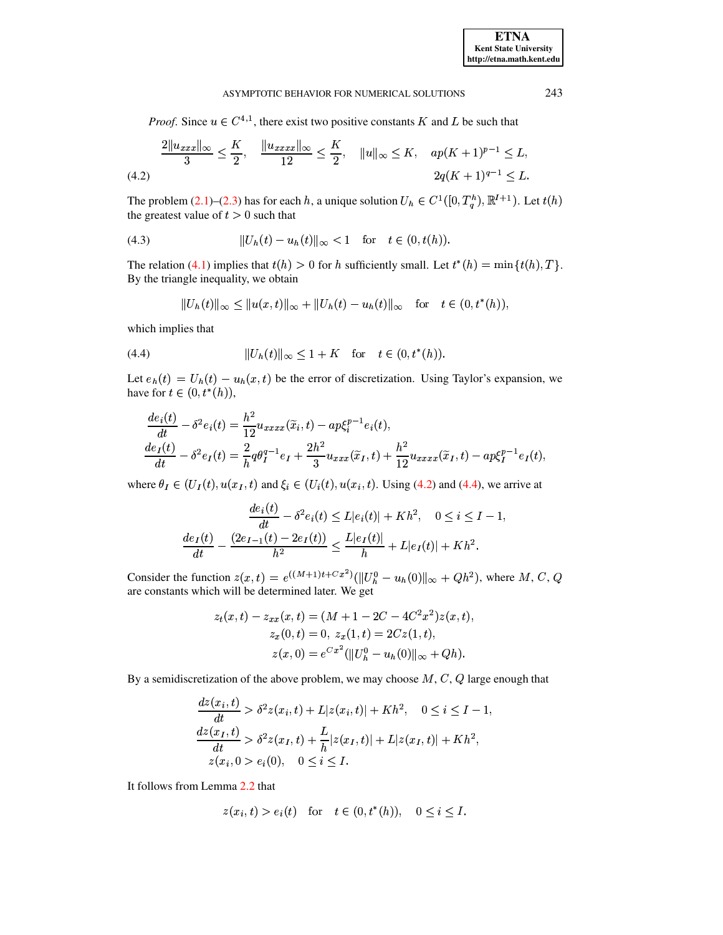### ASYMPTOTIC BEHAVIOR FOR NUMERICAL SOLUTIONS

*Proof.* Since  $u \in C^{4,1}$ , there exist two positive constants K and L be such that

<span id="page-6-0"></span>
$$
\frac{2\|u_{xxx}\|_{\infty}}{3} \le \frac{K}{2}, \quad \frac{\|u_{xxxx}\|_{\infty}}{12} \le \frac{K}{2}, \quad \|u\|_{\infty} \le K, \quad ap(K+1)^{p-1} \le L,
$$
\n
$$
(4.2) \quad 2q(K+1)^{q-1} \le L.
$$

The problem (2.1)–(2.3) has for each h, a unique solution  $U_h \in C^1([0, T_a^h), \mathbb{R}^{I+1})$ . Let  $t(h)$ the greatest value of  $t > 0$  such that

<span id="page-6-2"></span>(4.3) 
$$
||U_h(t) - u_h(t)||_{\infty} < 1 \text{ for } t \in (0, t(h)).
$$

The relation (4.1) implies that  $t(h) > 0$  for h sufficiently small. Let  $t^*(h) = \min\{t(h), T\}$ . By the triangle inequality, we obtain

$$
||U_h(t)||_{\infty} \le ||u(x,t)||_{\infty} + ||U_h(t) - u_h(t)||_{\infty} \text{ for } t \in (0,t^*(h)),
$$

which implies that

<span id="page-6-1"></span>(4.4) 
$$
||U_h(t)||_{\infty} \le 1 + K \quad \text{for} \quad t \in (0, t^*(h)).
$$

Let  $e_h(t) = U_h(t) - u_h(x, t)$  be the error of discretization. Using Taylor's expansion, we have for  $t \in (0, t^*(h))$ ,

$$
\frac{de_i(t)}{dt} - \delta^2 e_i(t) = \frac{h^2}{12} u_{xxxx}(\tilde{x}_i, t) - ap\xi_i^{p-1} e_i(t),
$$
  
\n
$$
\frac{de_I(t)}{dt} - \delta^2 e_I(t) = \frac{2}{h} q\theta_I^{q-1} e_I + \frac{2h^2}{3} u_{xxx}(\tilde{x}_I, t) + \frac{h^2}{12} u_{xxxx}(\tilde{x}_I, t) - ap\xi_I^{p-1} e_I(t),
$$

where  $\theta_I \in (U_I(t), u(x_I, t))$  and  $\xi_i \in (U_i(t), u(x_i, t))$ . Using (4.2) and (4.4), we arrive at

$$
\frac{de_i(t)}{dt} - \delta^2 e_i(t) \le L|e_i(t)| + Kh^2, \quad 0 \le i \le I - 1,
$$
  

$$
\frac{de_I(t)}{dt} - \frac{(2e_{I-1}(t) - 2e_I(t))}{h^2} \le \frac{L|e_I(t)|}{h} + L|e_I(t)| + Kh^2.
$$

Consider the function  $z(x,t) = e^{((M+1)t + Cx^2)}(||U_h^0 - u_h(0)||_{\infty} + Qh^2)$ , where M, C, Q are constants which will be determined later. We get

$$
z_t(x,t) - z_{xx}(x,t) = (M + 1 - 2C - 4C^2x^2)z(x,t),
$$
  
\n
$$
z_x(0,t) = 0, z_x(1,t) = 2Cz(1,t),
$$
  
\n
$$
z(x,0) = e^{Cx^2} (||U_h^0 - u_h(0)||_{\infty} + Qh).
$$

By a semidiscretization of the above problem, we may choose  $M, C, Q$  large enough that

$$
\frac{dz(x_i, t)}{dt} > \delta^2 z(x_i, t) + L|z(x_i, t)| + Kh^2, \quad 0 \le i \le I - 1,
$$
  
\n
$$
\frac{dz(x_I, t)}{dt} > \delta^2 z(x_I, t) + \frac{L}{h}|z(x_I, t)| + L|z(x_I, t)| + Kh^2,
$$
  
\n
$$
z(x_i, 0) < e_i(0), \quad 0 \le i \le I.
$$

It follows from Lemma 2.2 that

$$
z(x_i, t) > e_i(t)
$$
 for  $t \in (0, t^*(h))$ ,  $0 \le i \le I$ .

243

**ETNA Kent State University** http://etna.math.kent.edu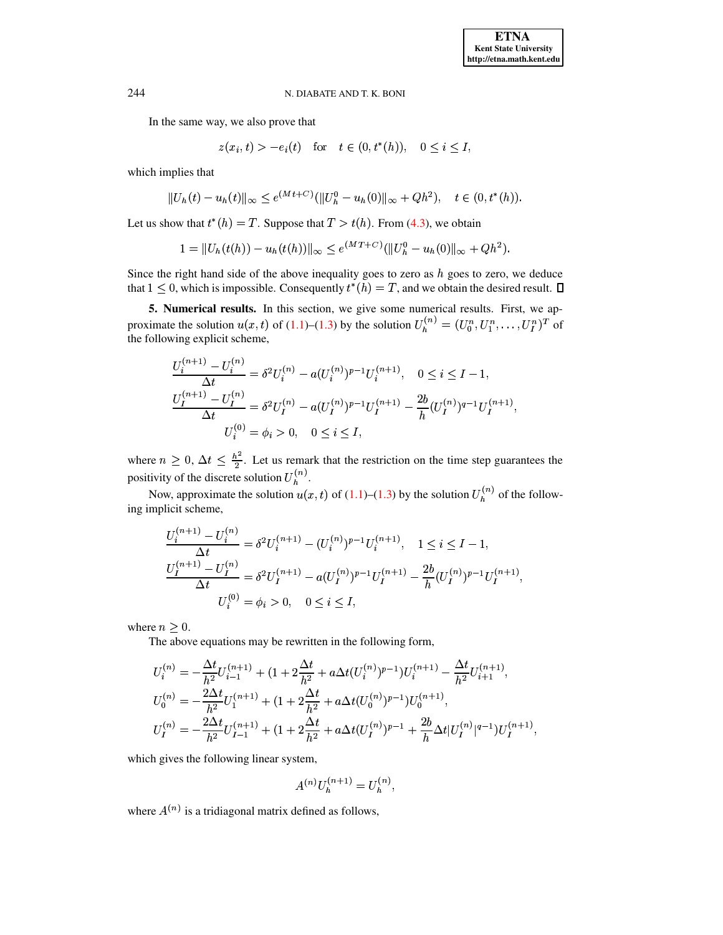In the same way, we also prove that

$$
z(x_i, t) > -e_i(t)
$$
 for  $t \in (0, t^*(h))$ ,  $0 \le i \le I$ ,

which implies that

$$
||U_h(t) - u_h(t)||_{\infty} \le e^{(Mt+C)}(||U_h^0 - u_h(0)||_{\infty} + Qh^2), \quad t \in (0, t^*(h)).
$$

Let us show that  $t^*(h) = T$ . Suppose that  $T > t(h)$ . From (4.3), we obtain

$$
1 = ||U_h(t(h)) - u_h(t(h))||_{\infty} \le e^{(MT+C)}(||U_h^0 - u_h(0)||_{\infty} + Qh^2).
$$

Since the right hand side of the above inequality goes to zero as  $h$  goes to zero, we deduce that  $1 \leq 0$ , which is impossible. Consequently  $t^*(h) = T$ , and we obtain the desired result.  $\Box$ 

<span id="page-7-0"></span>5. Numerical results. In this section, we give some numerical results. First, we approximate the solution  $u(x, t)$  of (1.1)–(1.3) by the solution  $U_h^{(n)} = (U_0^n, U_1^n, \dots, U_I^n)^T$  of the following explicit scheme,

$$
\frac{U_i^{(n+1)} - U_i^{(n)}}{\Delta t} = \delta^2 U_i^{(n)} - a(U_i^{(n)})^{p-1} U_i^{(n+1)}, \quad 0 \le i \le I - 1,
$$
  

$$
\frac{U_I^{(n+1)} - U_I^{(n)}}{\Delta t} = \delta^2 U_I^{(n)} - a(U_I^{(n)})^{p-1} U_I^{(n+1)} - \frac{2b}{h} (U_I^{(n)})^{q-1} U_I^{(n+1)}
$$
  

$$
U_i^{(0)} = \phi_i > 0, \quad 0 \le i \le I,
$$

where  $n \geq 0$ ,  $\Delta t \leq \frac{h^2}{2}$ . Let us remark that the restriction on the time step guarantees the positivity of the discrete solution  $U_h^{(n)}$ .

Now, approximate the solution  $u(x,t)$  of (1.1)–(1.3) by the solution  $U_h^{(n)}$  of the following implicit scheme,

$$
\frac{U_i^{(n+1)} - U_i^{(n)}}{\Delta t} = \delta^2 U_i^{(n+1)} - (U_i^{(n)})^{p-1} U_i^{(n+1)}, \quad 1 \le i \le I-1,
$$
  

$$
\frac{U_I^{(n+1)} - U_I^{(n)}}{\Delta t} = \delta^2 U_I^{(n+1)} - a(U_I^{(n)})^{p-1} U_I^{(n+1)} - \frac{2b}{h} (U_I^{(n)})^{p-1} U_I^{(n+1)},
$$
  

$$
U_i^{(0)} = \phi_i > 0, \quad 0 \le i \le I,
$$

where  $n \geq 0$ .

The above equations may be rewritten in the following form,

$$
U_i^{(n)} = -\frac{\Delta t}{h^2} U_{i-1}^{(n+1)} + (1 + 2\frac{\Delta t}{h^2} + a\Delta t (U_i^{(n)})^{p-1}) U_i^{(n+1)} - \frac{\Delta t}{h^2} U_{i+1}^{(n+1)},
$$
  
\n
$$
U_0^{(n)} = -\frac{2\Delta t}{h^2} U_1^{(n+1)} + (1 + 2\frac{\Delta t}{h^2} + a\Delta t (U_0^{(n)})^{p-1}) U_0^{(n+1)},
$$
  
\n
$$
U_I^{(n)} = -\frac{2\Delta t}{h^2} U_{I-1}^{(n+1)} + (1 + 2\frac{\Delta t}{h^2} + a\Delta t (U_I^{(n)})^{p-1} + \frac{2b}{h} \Delta t |U_I^{(n)}|^{q-1}) U_I^{(n+1)}
$$

which gives the following linear system,

$$
A^{(n)}U^{(n+1)}_h=U^{(n)}_h\quad
$$

where  $A^{(n)}$  is a tridiagonal matrix defined as follows,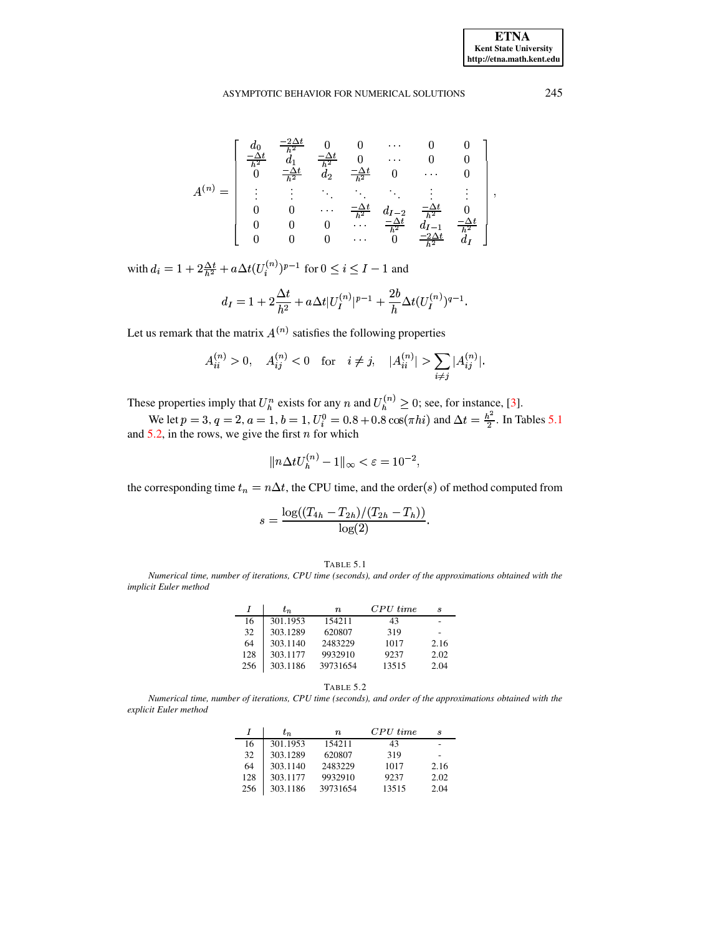$$
A^{(n)} = \begin{bmatrix} d_0 & \frac{-2\Delta t}{h^2} & 0 & 0 & \cdots & 0 & 0 \\ \frac{-\Delta t}{h^2} & d_1 & \frac{-\Delta t}{h^2} & 0 & \cdots & 0 & 0 \\ 0 & \frac{-\Delta t}{h^2} & d_2 & \frac{-\Delta t}{h^2} & 0 & \cdots & 0 \\ \vdots & \vdots & \ddots & \ddots & \ddots & \vdots & \vdots \\ 0 & 0 & \cdots & \frac{-\Delta t}{h^2} & d_{I-2} & \frac{-\Delta t}{h^2} & 0 \\ 0 & 0 & 0 & \cdots & \frac{-\Delta t}{h^2} & d_{I-1} & \frac{-\Delta t}{h^2} \\ 0 & 0 & 0 & \cdots & 0 & \frac{-2\Delta t}{h^2} & d_I \end{bmatrix}
$$

with  $d_i=1+2\frac{\Delta t}{h^2}+a\Delta t(U_i^{(n)})^{p-1}$  for  $0\leq i\leq I-1$  and

$$
d_I = 1 + 2\frac{\Delta t}{h^2} + a\Delta t |U_I^{(n)}|^{p-1} + \frac{2b}{h}\Delta t (U_I^{(n)})^{q-1}.
$$

Let us remark that the matrix  $A^{(n)}$  satisfies the following properties

$$
A_{ii}^{(n)} > 0, \quad A_{ij}^{(n)} < 0 \quad \text{for} \quad i \neq j, \quad |A_{ii}^{(n)}| > \sum_{i \neq j} |A_{ij}^{(n)}|.
$$

These properties imply that  $U_h^n$  exists for any *n* and  $U_h^{(n)} \ge 0$ ; see, for instance, [3].<br>We let  $p = 3$ ,  $q = 2$ ,  $a = 1$ ,  $b = 1$ ,  $U_i^0 = 0.8 + 0.8 \cos(\pi h i)$  and  $\Delta t = \frac{h^2}{2}$ . In Tables 5.1 and 5.2, in the rows, we give the first  $n$  for which

$$
\|n\Delta t U_h^{(n)}-1\|_\infty<\varepsilon=10^{-2},
$$

the corresponding time  $t_n = n\Delta t$ , the CPU time, and the order(s) of method computed from

$$
s = \frac{\log((T_{4h} - T_{2h})/(T_{2h} - T_h))}{\log(2)}.
$$

<span id="page-8-0"></span>Numerical time, number of iterations, CPU time (seconds), and order of the approximations obtained with the implicit Euler method

|     | $t_{\,n}$ | $\boldsymbol{n}$ | $CPU \ time$ | s    |
|-----|-----------|------------------|--------------|------|
| 16  | 301.1953  | 154211           | 43           |      |
| 32  | 303.1289  | 620807           | 319          |      |
| 64  | 303.1140  | 2483229          | 1017         | 2.16 |
| 128 | 303.1177  | 9932910          | 9237         | 2.02 |
| 256 | 303.1186  | 39731654         | 13515        | 2.04 |

TABLE 5.2

<span id="page-8-1"></span>Numerical time, number of iterations, CPU time (seconds), and order of the approximations obtained with the explicit Euler method

|     | $t_{\,n}$ | $\boldsymbol{n}$ | $CPU\ time$ | s    |
|-----|-----------|------------------|-------------|------|
| 16  | 301.1953  | 154211           | 43          |      |
| 32  | 303.1289  | 620807           | 319         |      |
| 64  | 303.1140  | 2483229          | 1017        | 2.16 |
| 128 | 303.1177  | 9932910          | 9237        | 2.02 |
| 256 | 303.1186  | 39731654         | 13515       | 2.04 |

**ETNA Kent State University** http://etna.math.kent.edu